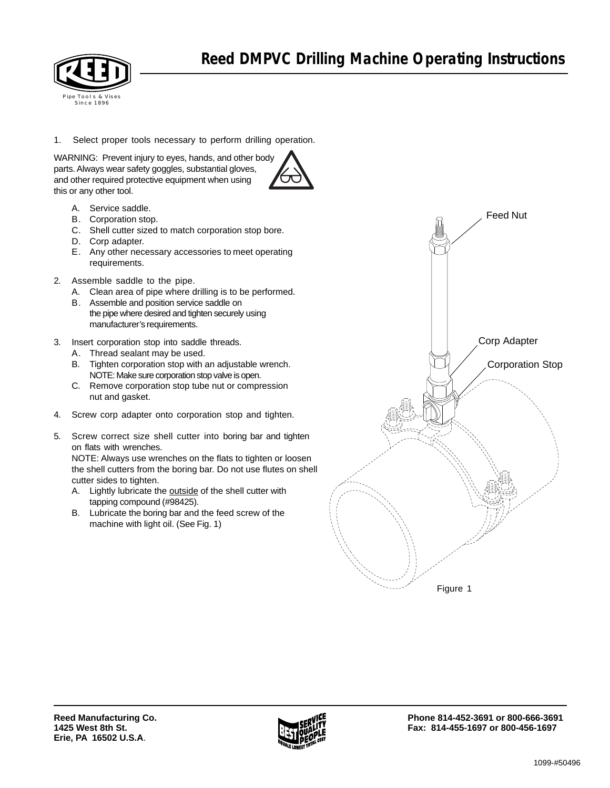

1. Select proper tools necessary to perform drilling operation.

WARNING: Prevent injury to eyes, hands, and other body parts. Always wear safety goggles, substantial gloves, and other required protective equipment when using this or any other tool.



- A. Service saddle.
- B. Corporation stop.
- C. Shell cutter sized to match corporation stop bore.
- D. Corp adapter.
- E. Any other necessary accessories to meet operating requirements.
- 2. Assemble saddle to the pipe.
	- A. Clean area of pipe where drilling is to be performed.
	- B. Assemble and position service saddle on the pipe where desired and tighten securely using manufacturer's requirements.
- 3. Insert corporation stop into saddle threads.
	- A. Thread sealant may be used.
	- B. Tighten corporation stop with an adjustable wrench. NOTE: Make sure corporation stop valve is open.
	- C. Remove corporation stop tube nut or compression nut and gasket.
- 4. Screw corp adapter onto corporation stop and tighten.
- 5. Screw correct size shell cutter into boring bar and tighten on flats with wrenches.

NOTE: Always use wrenches on the flats to tighten or loosen the shell cutters from the boring bar. Do not use flutes on shell cutter sides to tighten.

- A. Lightly lubricate the outside of the shell cutter with tapping compound (#98425).
- B. Lubricate the boring bar and the feed screw of the machine with light oil. (See Fig. 1)